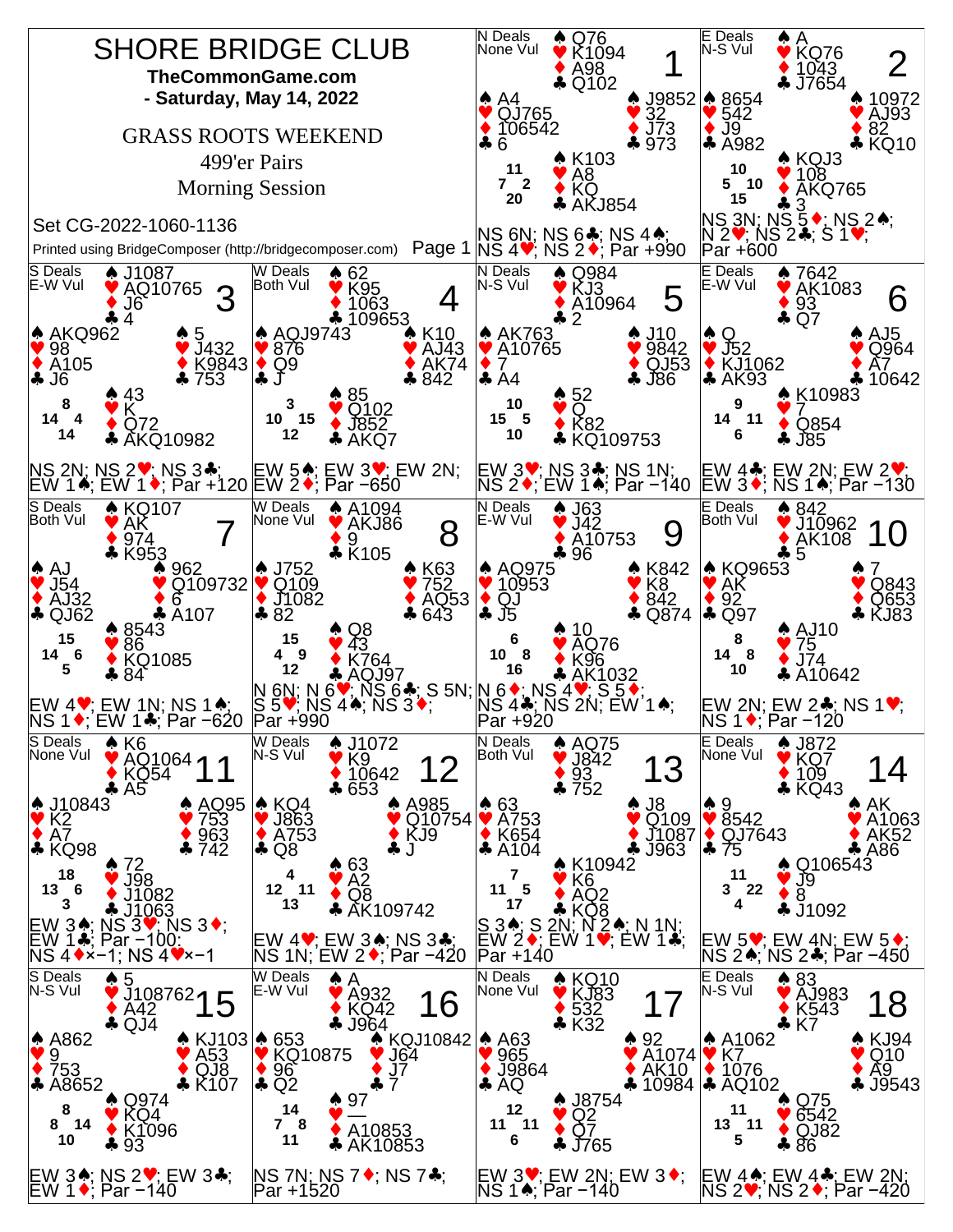